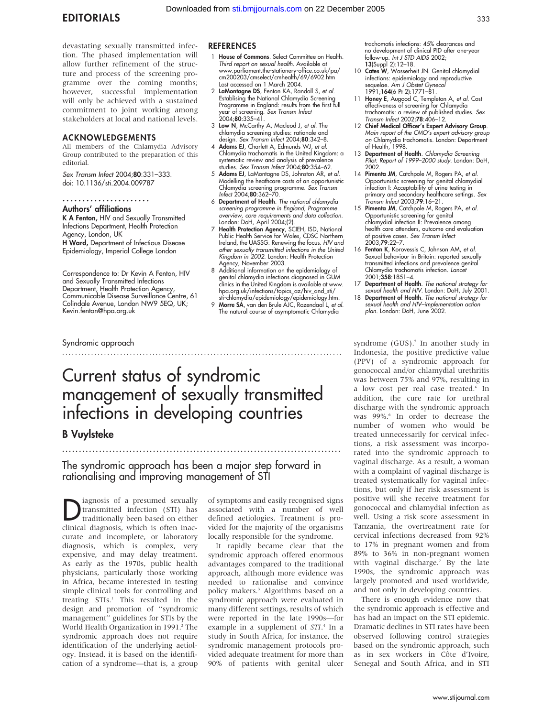devastating sexually transmitted infection. The phased implementation will allow further refinement of the structure and process of the screening programme over the coming months; however, successful implementation will only be achieved with a sustained commitment to joint working among stakeholders at local and national levels.

#### ACKNOWLEDGEMENTS

All members of the Chlamydia Advisory Group contributed to the preparation of this editorial.

Sex Transm Infect 2004;80:331–333. doi: 10.1136/sti.2004.009787

### ......................

Authors' affiliations K A Fenton, HIV and Sexually Transmitted Infections Department, Health Protection Agency, London, UK H Ward, Department of Infectious Disease Epidemiology, Imperial College London

Correspondence to: Dr Kevin A Fenton, HIV and Sexually Transmitted Infections Department, Health Protection Agency, Communicable Disease Surveillance Centre, 61 Colindale Avenue, London NW9 5EQ, UK; Kevin.fenton@hpa.org.uk

### Syndromic approach

### **REFERENCES**

- 1 House of Commons. Select Committee on Health. Third report on sexual health. Available at www.parliament.the-stationery-office.co.uk/pa/ cm200203/cmselect/cmhealth/69/6902.htm Last accessed on 1 March 2004.
- 2 LaMontagne DS, Fenton KA, Randall S, et al. Establising the National Chlamydia Screening Programme in England: results from the first full year of screening. *Sex Transm Infect*<br>2004;**80**:335–41.
- 3 Low N, McCarthy A, Macleod J, et al. The chlamydia screening studies: rationale and design. *Sex Transm Infect* 2004;**80**:342-8.
- 4 Adams EJ, Charlett A, Edmunds WJ, et al. Chlamydia trachomatis in the United Kingdom: a systematic review and analysis of prevalence studies. Sex Transm Infect 2004;80:354–62.
- 5 Adams EJ, LaMontagne DS, Johnston AR, et al. Modelling the heathcare costs of an opportunistic Chlamydia screening programme. *Sex Transm*<br>*Infect* 2004;**80**:362–70.
- 6 Department of Health. The national chlamydia screening programme in England, Programme overview, core requirements and data collection. London: DoH, April 2004;(2).
- 7 Health Protection Agency, SCIEH, ISD, National Public Health Service for Wales, CDSC Northern Ireland, the UASSG. Renewing the focus. HIV and other sexually transmitted infections in the United Kingdom in 2002. London: Health Protection Agency, November 2003.
- 8 Additional information on the epidemiology of genital chlamydia infections diagnosed in GUM clinics in the United Kingdom is available at www. hpa.org.uk/infections/topics\_az/hiv\_and\_sti/
- sti-chlamydia/epidemiology/epidemiology.htm.<br>9 **Morre SA**, van den Brule AJC, Rozendaal L, *et al.* The natural course of asymptomatic Chlamydia

trachomatis infections: 45% clearances and no development of clinical PID after one-year follow-up. Int J STD AIDS 2002; 13(Suppl 2):12–18.

- 10 Cates W, Wasserheit JN. Genital chlamydial infections: epidemiology and reproductive sequelae. Am J Obstet Gynecol 1991;164(6 Pt 2):1771–81.
- 11 **Honey E**, Augood C, Templeton A, *et al.* Cost<br>effectiveness of screening for Chlamydia<br>trachomatis: a review of published studies. Sex Transm Infect 2002;78:406–12.
- 12 Chief Medical Officer's Expert Advisory Group. Main report of the CMO's expert advisory group on Chlamydia trachomatis. London: Department of Health, 1998.
- 13 Department of Health. Chlamydia Screening Pilot: Report of 1999–2000 study. London: DoH, 2002.
- 14 Pimenta JM, Catchpole M, Rogers PA, et al. Opportunistic screening for genital chlamydial infection I: Acceptability of urine testing in primary and secondary healthcare settings. Sex Transm Infect 2003;79:16–21.
- 15 Pimenta JM, Catchpole M, Rogers PA, et al. Opportunistic screening for genital chlamydial infection II: Prevalence among health care attenders, outcome and evaluation of positive cases. Sex Transm Infect 2003;79:22–7.
- 16 Fenton K, Korovessis C, Johnson AM, et al. Sexual behaviour in Britain: reported sexually transmitted infections and prevalence genital Chlamydia trachomatis infection. Lancet 2001;358:1851–4.
- 17 Department of Health. The national strategy for
- sexual health and HIV. London: DoH, July 2001. 18 Department of Health. The national strategy for sexual health and HIV–implementation action plan. London: DoH, June 2002.

Current status of syndromic management of sexually transmitted infections in developing countries

.......................................................................................

## B Vuylsteke

The syndromic approach has been a major step forward in rationalising and improving management of STI

...................................................................................

iagnosis of a presumed sexually transmitted infection (STI) has traditionally been based on either clinical diagnosis, which is often inaccurate and incomplete, or laboratory diagnosis, which is complex, very expensive, and may delay treatment. As early as the 1970s, public health physicians, particularly those working in Africa, became interested in testing simple clinical tools for controlling and treating STIs.<sup>1</sup> This resulted in the design and promotion of ''syndromic management'' guidelines for STIs by the World Health Organization in 1991.<sup>2</sup> The syndromic approach does not require identification of the underlying aetiology. Instead, it is based on the identification of a syndrome—that is, a group of symptoms and easily recognised signs associated with a number of well defined aetiologies. Treatment is provided for the majority of the organisms locally responsible for the syndrome.

It rapidly became clear that the syndromic approach offered enormous advantages compared to the traditional approach, although more evidence was needed to rationalise and convince policy makers.3 Algorithms based on a syndromic approach were evaluated in many different settings, results of which were reported in the late 1990s—for example in a supplement of STI.<sup>4</sup> In a study in South Africa, for instance, the syndromic management protocols provided adequate treatment for more than 90% of patients with genital ulcer

syndrome (GUS).<sup>5</sup> In another study in Indonesia, the positive predictive value (PPV) of a syndromic approach for gonococcal and/or chlamydial urethritis was between 75% and 97%, resulting in a low cost per real case treated.<sup>6</sup> In addition, the cure rate for urethral discharge with the syndromic approach was 99%.<sup>6</sup> In order to decrease the number of women who would be treated unnecessarily for cervical infections, a risk assessment was incorporated into the syndromic approach to vaginal discharge. As a result, a woman with a complaint of vaginal discharge is treated systematically for vaginal infections, but only if her risk assessment is positive will she receive treatment for gonococcal and chlamydial infection as well. Using a risk score assessment in Tanzania, the overtreatment rate for cervical infections decreased from 92% to 17% in pregnant women and from 89% to 36% in non-pregnant women with vaginal discharge.<sup>7</sup> By the late 1990s, the syndromic approach was largely promoted and used worldwide, and not only in developing countries.

There is enough evidence now that the syndromic approach is effective and has had an impact on the STI epidemic. Dramatic declines in STI rates have been observed following control strategies based on the syndromic approach, such as in sex workers in Côte d'Ivoire, Senegal and South Africa, and in STI